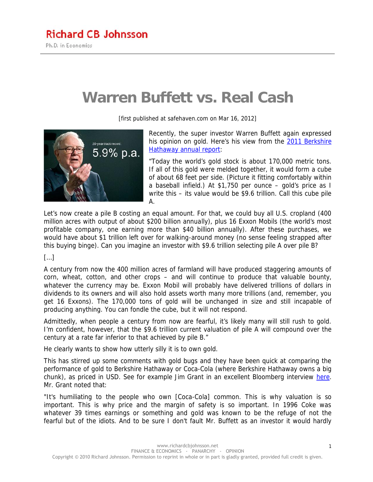## **Warren Buffett vs. Real Cash**

[first published at safehaven.com on Mar 16, 2012]



Recently, the super investor Warren Buffett again expressed his opinion on gold. Here's his view from the 2011 Berkshire Hathaway annual report:

"Today the world's gold stock is about 170,000 metric tons. If all of this gold were melded together, it would form a cube of about 68 feet per side. (Picture it fitting comfortably within a baseball infield.) At \$1,750 per ounce – gold's price as I write this – its value would be \$9.6 trillion. Call this cube pile A.

Let's now create a pile B costing an equal amount. For that, we could buy all U.S. cropland (400 million acres with output of about \$200 billion annually), plus 16 Exxon Mobils (the world's most profitable company, one earning more than \$40 billion annually). After these purchases, we would have about \$1 trillion left over for walking-around money (no sense feeling strapped after this buying binge). Can you imagine an investor with \$9.6 trillion selecting pile A over pile B?

## […]

A century from now the 400 million acres of farmland will have produced staggering amounts of corn, wheat, cotton, and other crops – and will continue to produce that valuable bounty, whatever the currency may be. Exxon Mobil will probably have delivered trillions of dollars in dividends to its owners and will also hold assets worth many more trillions (and, remember, you get 16 Exxons). The 170,000 tons of gold will be unchanged in size and still incapable of producing anything. You can fondle the cube, but it will not respond.

Admittedly, when people a century from now are fearful, it's likely many will still rush to gold. I'm confident, however, that the \$9.6 trillion current valuation of pile A will compound over the century at a rate far inferior to that achieved by pile B."

He clearly wants to show how utterly silly it is to own gold.

This has stirred up some comments with gold bugs and they have been quick at comparing the performance of gold to Berkshire Hathaway or Coca-Cola (where Berkshire Hathaway owns a big chunk), as priced in USD. See for example Jim Grant in an excellent Bloomberg interview here. Mr. Grant noted that:

"It's humiliating to the people who own [Coca-Cola] common. This is why valuation is so important. This is why price and the margin of safety is so important. In 1996 Coke was whatever 39 times earnings or something and gold was known to be the refuge of not the fearful but of the idiots. And to be sure I don't fault Mr. Buffett as an investor it would hardly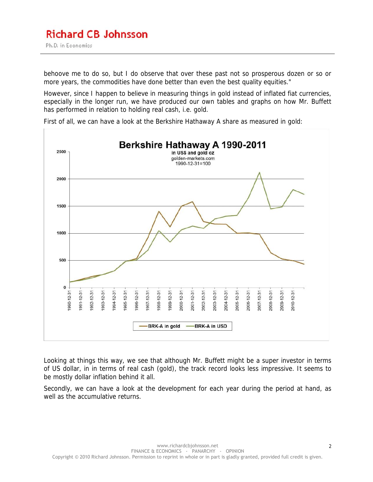behoove me to do so, but I do observe that over these past not so prosperous dozen or so or more years, the commodities have done better than even the best quality equities."

However, since I happen to believe in measuring things in gold instead of inflated fiat currencies, especially in the longer run, we have produced our own tables and graphs on how Mr. Buffett has performed in relation to holding real cash, i.e. gold.



First of all, we can have a look at the Berkshire Hathaway A share as measured in gold:

Looking at things this way, we see that although Mr. Buffett might be a super investor in terms of US dollar, in in terms of real cash (gold), the track record looks less impressive. It seems to be mostly dollar inflation behind it all.

Secondly, we can have a look at the development for each year during the period at hand, as well as the accumulative returns.